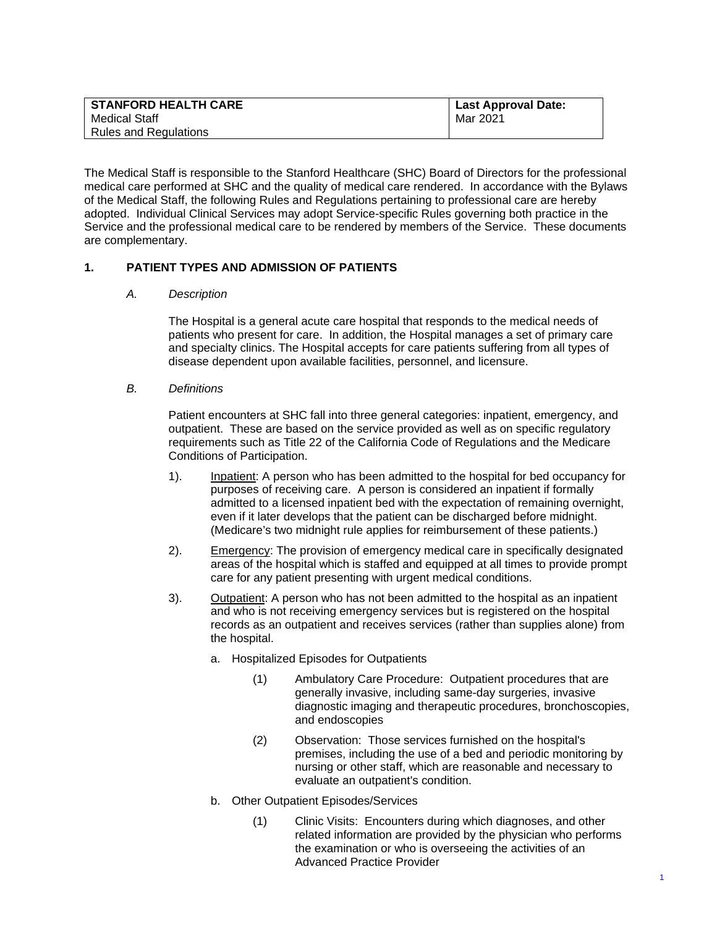| <b>STANFORD HEALTH CARE</b> | <b>Last Approval Date:</b> |
|-----------------------------|----------------------------|
| Medical Staff               | Mar 2021                   |
| Rules and Regulations       |                            |

The Medical Staff is responsible to the Stanford Healthcare (SHC) Board of Directors for the professional medical care performed at SHC and the quality of medical care rendered. In accordance with the Bylaws of the Medical Staff, the following Rules and Regulations pertaining to professional care are hereby adopted. Individual Clinical Services may adopt Service-specific Rules governing both practice in the Service and the professional medical care to be rendered by members of the Service. These documents are complementary.

# **1. PATIENT TYPES AND ADMISSION OF PATIENTS**

#### *A. Description*

 The Hospital is a general acute care hospital that responds to the medical needs of patients who present for care. In addition, the Hospital manages a set of primary care and specialty clinics. The Hospital accepts for care patients suffering from all types of disease dependent upon available facilities, personnel, and licensure.

#### *B. Definitions*

 Patient encounters at SHC fall into three general categories: inpatient, emergency, and outpatient. These are based on the service provided as well as on specific regulatory requirements such as Title 22 of the California Code of Regulations and the Medicare Conditions of Participation.

- 1). Inpatient: A person who has been admitted to the hospital for bed occupancy for purposes of receiving care. A person is considered an inpatient if formally admitted to a licensed inpatient bed with the expectation of remaining overnight, even if it later develops that the patient can be discharged before midnight. (Medicare's two midnight rule applies for reimbursement of these patients.)
- 2). Emergency: The provision of emergency medical care in specifically designated areas of the hospital which is staffed and equipped at all times to provide prompt care for any patient presenting with urgent medical conditions.
- 3). Outpatient: A person who has not been admitted to the hospital as an inpatient and who is not receiving emergency services but is registered on the hospital records as an outpatient and receives services (rather than supplies alone) from the hospital.
	- a. Hospitalized Episodes for Outpatients
		- (1) Ambulatory Care Procedure: Outpatient procedures that are generally invasive, including same-day surgeries, invasive diagnostic imaging and therapeutic procedures, bronchoscopies, and endoscopies
		- (2) Observation: Those services furnished on the hospital's premises, including the use of a bed and periodic monitoring by nursing or other staff, which are reasonable and necessary to evaluate an outpatient's condition.
	- b. Other Outpatient Episodes/Services
		- (1) Clinic Visits: Encounters during which diagnoses, and other related information are provided by the physician who performs the examination or who is overseeing the activities of an Advanced Practice Provider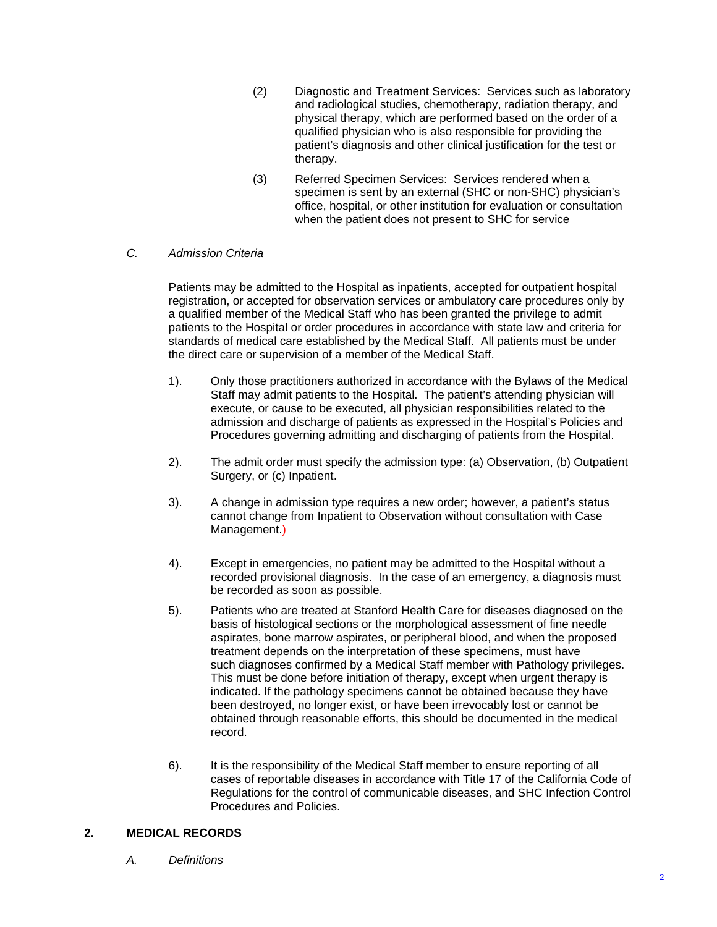- (2) Diagnostic and Treatment Services: Services such as laboratory and radiological studies, chemotherapy, radiation therapy, and physical therapy, which are performed based on the order of a qualified physician who is also responsible for providing the patient's diagnosis and other clinical justification for the test or therapy.
- (3) Referred Specimen Services: Services rendered when a specimen is sent by an external (SHC or non-SHC) physician's office, hospital, or other institution for evaluation or consultation when the patient does not present to SHC for service

# *C. Admission Criteria*

Patients may be admitted to the Hospital as inpatients, accepted for outpatient hospital registration, or accepted for observation services or ambulatory care procedures only by a qualified member of the Medical Staff who has been granted the privilege to admit patients to the Hospital or order procedures in accordance with state law and criteria for standards of medical care established by the Medical Staff. All patients must be under the direct care or supervision of a member of the Medical Staff.

- 1). Only those practitioners authorized in accordance with the Bylaws of the Medical Staff may admit patients to the Hospital. The patient's attending physician will execute, or cause to be executed, all physician responsibilities related to the admission and discharge of patients as expressed in the Hospital's Policies and Procedures governing admitting and discharging of patients from the Hospital.
- 2). The admit order must specify the admission type: (a) Observation, (b) Outpatient Surgery, or (c) Inpatient.
- 3). A change in admission type requires a new order; however, a patient's status cannot change from Inpatient to Observation without consultation with Case Management.)
- 4). Except in emergencies, no patient may be admitted to the Hospital without a recorded provisional diagnosis. In the case of an emergency, a diagnosis must be recorded as soon as possible.
- 5). Patients who are treated at Stanford Health Care for diseases diagnosed on the basis of histological sections or the morphological assessment of fine needle aspirates, bone marrow aspirates, or peripheral blood, and when the proposed treatment depends on the interpretation of these specimens, must have such diagnoses confirmed by a Medical Staff member with Pathology privileges. This must be done before initiation of therapy, except when urgent therapy is indicated. If the pathology specimens cannot be obtained because they have been destroyed, no longer exist, or have been irrevocably lost or cannot be obtained through reasonable efforts, this should be documented in the medical record.
- 6). It is the responsibility of the Medical Staff member to ensure reporting of all cases of reportable diseases in accordance with Title 17 of the California Code of Regulations for the control of communicable diseases, and SHC Infection Control Procedures and Policies.

# **2. MEDICAL RECORDS**

*A. Definitions*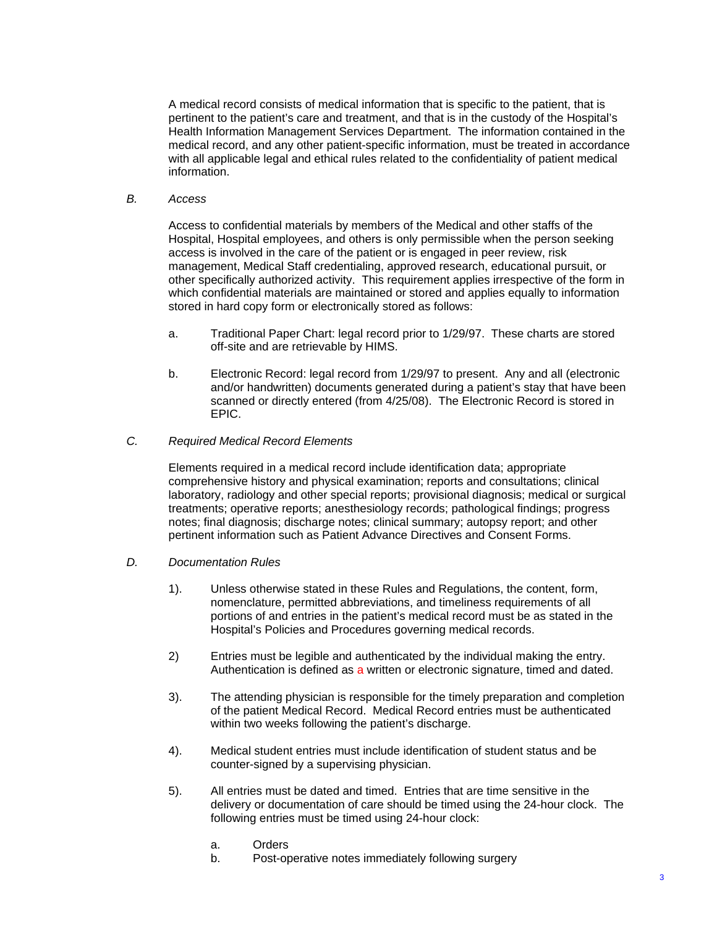A medical record consists of medical information that is specific to the patient, that is pertinent to the patient's care and treatment, and that is in the custody of the Hospital's Health Information Management Services Department. The information contained in the medical record, and any other patient-specific information, must be treated in accordance with all applicable legal and ethical rules related to the confidentiality of patient medical information.

*B. Access* 

Access to confidential materials by members of the Medical and other staffs of the Hospital, Hospital employees, and others is only permissible when the person seeking access is involved in the care of the patient or is engaged in peer review, risk management, Medical Staff credentialing, approved research, educational pursuit, or other specifically authorized activity. This requirement applies irrespective of the form in which confidential materials are maintained or stored and applies equally to information stored in hard copy form or electronically stored as follows:

- a. Traditional Paper Chart: legal record prior to 1/29/97. These charts are stored off-site and are retrievable by HIMS.
- b. Electronic Record: legal record from 1/29/97 to present. Any and all (electronic and/or handwritten) documents generated during a patient's stay that have been scanned or directly entered (from 4/25/08). The Electronic Record is stored in EPIC.
- *C. Required Medical Record Elements*

Elements required in a medical record include identification data; appropriate comprehensive history and physical examination; reports and consultations; clinical laboratory, radiology and other special reports; provisional diagnosis; medical or surgical treatments; operative reports; anesthesiology records; pathological findings; progress notes; final diagnosis; discharge notes; clinical summary; autopsy report; and other pertinent information such as Patient Advance Directives and Consent Forms.

- *D. Documentation Rules* 
	- 1). Unless otherwise stated in these Rules and Regulations, the content, form, nomenclature, permitted abbreviations, and timeliness requirements of all portions of and entries in the patient's medical record must be as stated in the Hospital's Policies and Procedures governing medical records.
	- 2) Entries must be legible and authenticated by the individual making the entry. Authentication is defined as a written or electronic signature, timed and dated.
	- 3). The attending physician is responsible for the timely preparation and completion of the patient Medical Record. Medical Record entries must be authenticated within two weeks following the patient's discharge.
	- 4). Medical student entries must include identification of student status and be counter-signed by a supervising physician.
	- 5). All entries must be dated and timed. Entries that are time sensitive in the delivery or documentation of care should be timed using the 24-hour clock. The following entries must be timed using 24-hour clock:
		- a. Orders
		- b. Post-operative notes immediately following surgery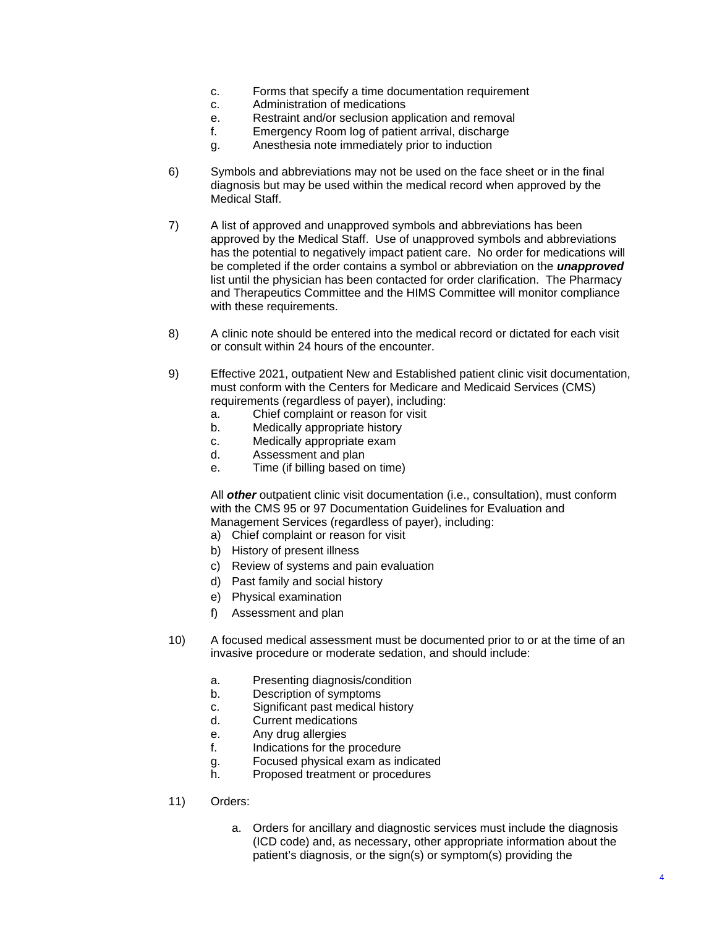- c. Forms that specify a time documentation requirement
- c. Administration of medications
- e. Restraint and/or seclusion application and removal
- f. Emergency Room log of patient arrival, discharge
- g. Anesthesia note immediately prior to induction
- 6) Symbols and abbreviations may not be used on the face sheet or in the final diagnosis but may be used within the medical record when approved by the Medical Staff.
- 7) A list of approved and unapproved symbols and abbreviations has been approved by the Medical Staff. Use of unapproved symbols and abbreviations has the potential to negatively impact patient care. No order for medications will be completed if the order contains a symbol or abbreviation on the *unapproved*  list until the physician has been contacted for order clarification. The Pharmacy and Therapeutics Committee and the HIMS Committee will monitor compliance with these requirements.
- 8) A clinic note should be entered into the medical record or dictated for each visit or consult within 24 hours of the encounter.
- 9) Effective 2021, outpatient New and Established patient clinic visit documentation, must conform with the Centers for Medicare and Medicaid Services (CMS) requirements (regardless of payer), including:
	- a. Chief complaint or reason for visit
	- b. Medically appropriate history
	- c. Medically appropriate exam
	- d. Assessment and plan
	- e. Time (if billing based on time)

 All *other* outpatient clinic visit documentation (i.e., consultation), must conform with the CMS 95 or 97 Documentation Guidelines for Evaluation and Management Services (regardless of payer), including:

- a) Chief complaint or reason for visit
- b) History of present illness
- c) Review of systems and pain evaluation
- d) Past family and social history
- e) Physical examination
- f) Assessment and plan
- 10) A focused medical assessment must be documented prior to or at the time of an invasive procedure or moderate sedation, and should include:
	- a. Presenting diagnosis/condition
	- b. Description of symptoms
	- c. Significant past medical history
	- d. Current medications
	- e. Any drug allergies
	- f. Indications for the procedure
	- g. Focused physical exam as indicated
	- h. Proposed treatment or procedures
- 11) Orders:
	- a. Orders for ancillary and diagnostic services must include the diagnosis (ICD code) and, as necessary, other appropriate information about the patient's diagnosis, or the sign(s) or symptom(s) providing the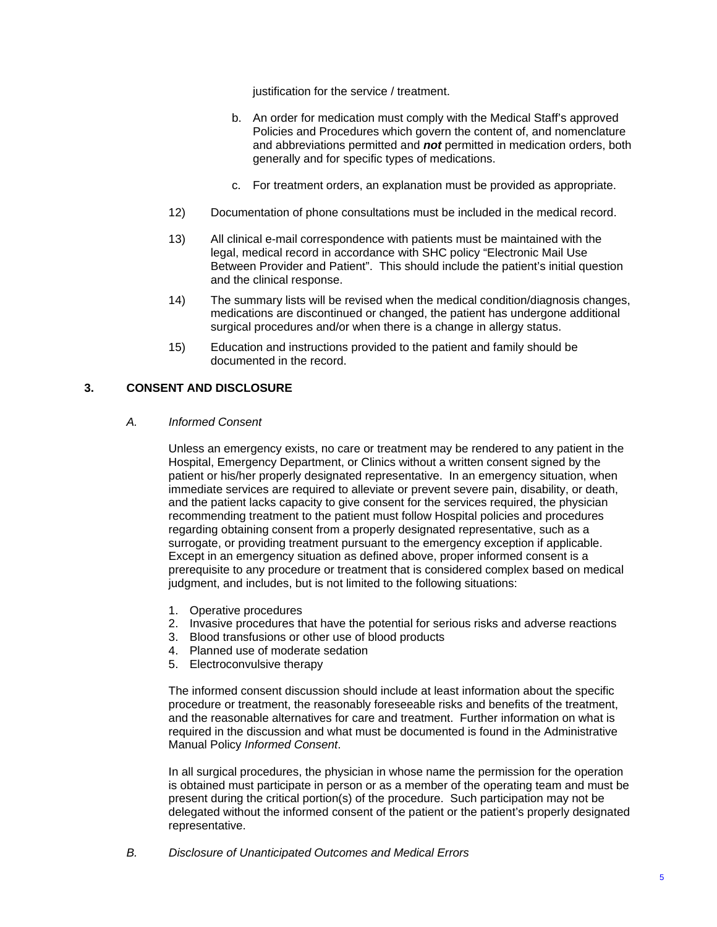justification for the service / treatment.

- b. An order for medication must comply with the Medical Staff's approved Policies and Procedures which govern the content of, and nomenclature and abbreviations permitted and *not* permitted in medication orders, both generally and for specific types of medications.
- c. For treatment orders, an explanation must be provided as appropriate.
- 12) Documentation of phone consultations must be included in the medical record.
- 13) All clinical e-mail correspondence with patients must be maintained with the legal, medical record in accordance with SHC policy "Electronic Mail Use Between Provider and Patient". This should include the patient's initial question and the clinical response.
- 14) The summary lists will be revised when the medical condition/diagnosis changes, medications are discontinued or changed, the patient has undergone additional surgical procedures and/or when there is a change in allergy status.
- 15) Education and instructions provided to the patient and family should be documented in the record.

# **3. CONSENT AND DISCLOSURE**

#### *A. Informed Consent*

Unless an emergency exists, no care or treatment may be rendered to any patient in the Hospital, Emergency Department, or Clinics without a written consent signed by the patient or his/her properly designated representative. In an emergency situation, when immediate services are required to alleviate or prevent severe pain, disability, or death, and the patient lacks capacity to give consent for the services required, the physician recommending treatment to the patient must follow Hospital policies and procedures regarding obtaining consent from a properly designated representative, such as a surrogate, or providing treatment pursuant to the emergency exception if applicable. Except in an emergency situation as defined above, proper informed consent is a prerequisite to any procedure or treatment that is considered complex based on medical judgment, and includes, but is not limited to the following situations:

- 1. Operative procedures
- 2. Invasive procedures that have the potential for serious risks and adverse reactions
- 3. Blood transfusions or other use of blood products
- 4. Planned use of moderate sedation
- 5. Electroconvulsive therapy

The informed consent discussion should include at least information about the specific procedure or treatment, the reasonably foreseeable risks and benefits of the treatment, and the reasonable alternatives for care and treatment. Further information on what is required in the discussion and what must be documented is found in the Administrative Manual Policy *Informed Consent*.

In all surgical procedures, the physician in whose name the permission for the operation is obtained must participate in person or as a member of the operating team and must be present during the critical portion(s) of the procedure. Such participation may not be delegated without the informed consent of the patient or the patient's properly designated representative.

*B. Disclosure of Unanticipated Outcomes and Medical Errors*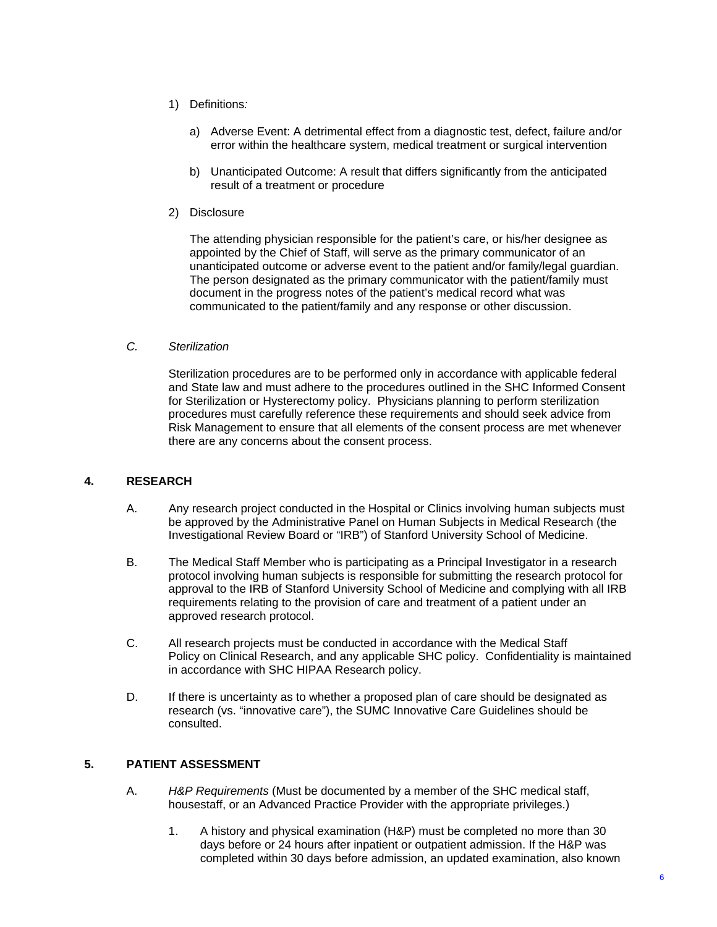- 1) Definitions*:* 
	- a) Adverse Event: A detrimental effect from a diagnostic test, defect, failure and/or error within the healthcare system, medical treatment or surgical intervention
	- b) Unanticipated Outcome: A result that differs significantly from the anticipated result of a treatment or procedure
- 2) Disclosure

The attending physician responsible for the patient's care, or his/her designee as appointed by the Chief of Staff, will serve as the primary communicator of an unanticipated outcome or adverse event to the patient and/or family/legal guardian. The person designated as the primary communicator with the patient/family must document in the progress notes of the patient's medical record what was communicated to the patient/family and any response or other discussion.

### *C. Sterilization*

Sterilization procedures are to be performed only in accordance with applicable federal and State law and must adhere to the procedures outlined in the SHC Informed Consent for Sterilization or Hysterectomy policy. Physicians planning to perform sterilization procedures must carefully reference these requirements and should seek advice from Risk Management to ensure that all elements of the consent process are met whenever there are any concerns about the consent process.

## **4. RESEARCH**

- A. Any research project conducted in the Hospital or Clinics involving human subjects must be approved by the Administrative Panel on Human Subjects in Medical Research (the Investigational Review Board or "IRB") of Stanford University School of Medicine.
- B. The Medical Staff Member who is participating as a Principal Investigator in a research protocol involving human subjects is responsible for submitting the research protocol for approval to the IRB of Stanford University School of Medicine and complying with all IRB requirements relating to the provision of care and treatment of a patient under an approved research protocol.
- C. All research projects must be conducted in accordance with the Medical Staff Policy on Clinical Research, and any applicable SHC policy. Confidentiality is maintained in accordance with SHC HIPAA Research policy.
- D. If there is uncertainty as to whether a proposed plan of care should be designated as research (vs. "innovative care"), the SUMC Innovative Care Guidelines should be consulted.

## **5. PATIENT ASSESSMENT**

- A. *H&P Requirements* (Must be documented by a member of the SHC medical staff, housestaff, or an Advanced Practice Provider with the appropriate privileges.)
	- 1. A history and physical examination (H&P) must be completed no more than 30 days before or 24 hours after inpatient or outpatient admission. If the H&P was completed within 30 days before admission, an updated examination, also known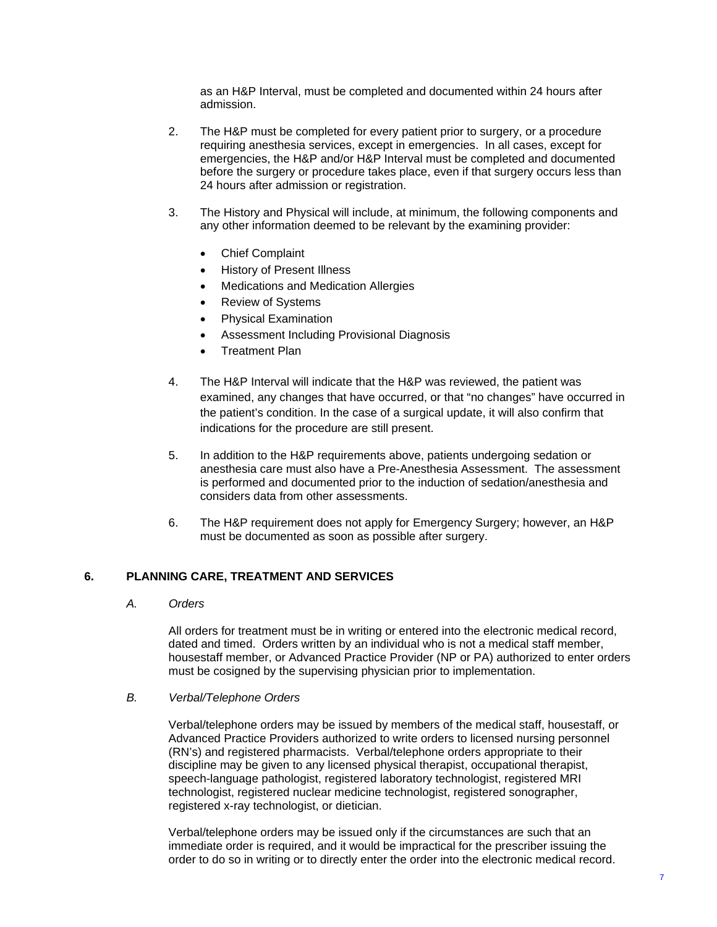as an H&P Interval, must be completed and documented within 24 hours after admission.

- 2. The H&P must be completed for every patient prior to surgery, or a procedure requiring anesthesia services, except in emergencies. In all cases, except for emergencies, the H&P and/or H&P Interval must be completed and documented before the surgery or procedure takes place, even if that surgery occurs less than 24 hours after admission or registration.
- 3. The History and Physical will include, at minimum, the following components and any other information deemed to be relevant by the examining provider:
	- Chief Complaint
	- History of Present Illness
	- Medications and Medication Allergies
	- Review of Systems
	- Physical Examination
	- Assessment Including Provisional Diagnosis
	- Treatment Plan
- 4. The H&P Interval will indicate that the H&P was reviewed, the patient was examined, any changes that have occurred, or that "no changes" have occurred in the patient's condition. In the case of a surgical update, it will also confirm that indications for the procedure are still present.
- 5. In addition to the H&P requirements above, patients undergoing sedation or anesthesia care must also have a Pre-Anesthesia Assessment. The assessment is performed and documented prior to the induction of sedation/anesthesia and considers data from other assessments.
- 6. The H&P requirement does not apply for Emergency Surgery; however, an H&P must be documented as soon as possible after surgery.

#### **6. PLANNING CARE, TREATMENT AND SERVICES**

*A. Orders*

All orders for treatment must be in writing or entered into the electronic medical record, dated and timed. Orders written by an individual who is not a medical staff member, housestaff member, or Advanced Practice Provider (NP or PA) authorized to enter orders must be cosigned by the supervising physician prior to implementation.

#### *B. Verbal/Telephone Orders*

Verbal/telephone orders may be issued by members of the medical staff, housestaff, or Advanced Practice Providers authorized to write orders to licensed nursing personnel (RN's) and registered pharmacists. Verbal/telephone orders appropriate to their discipline may be given to any licensed physical therapist, occupational therapist, speech-language pathologist, registered laboratory technologist, registered MRI technologist, registered nuclear medicine technologist, registered sonographer, registered x-ray technologist, or dietician.

Verbal/telephone orders may be issued only if the circumstances are such that an immediate order is required, and it would be impractical for the prescriber issuing the order to do so in writing or to directly enter the order into the electronic medical record.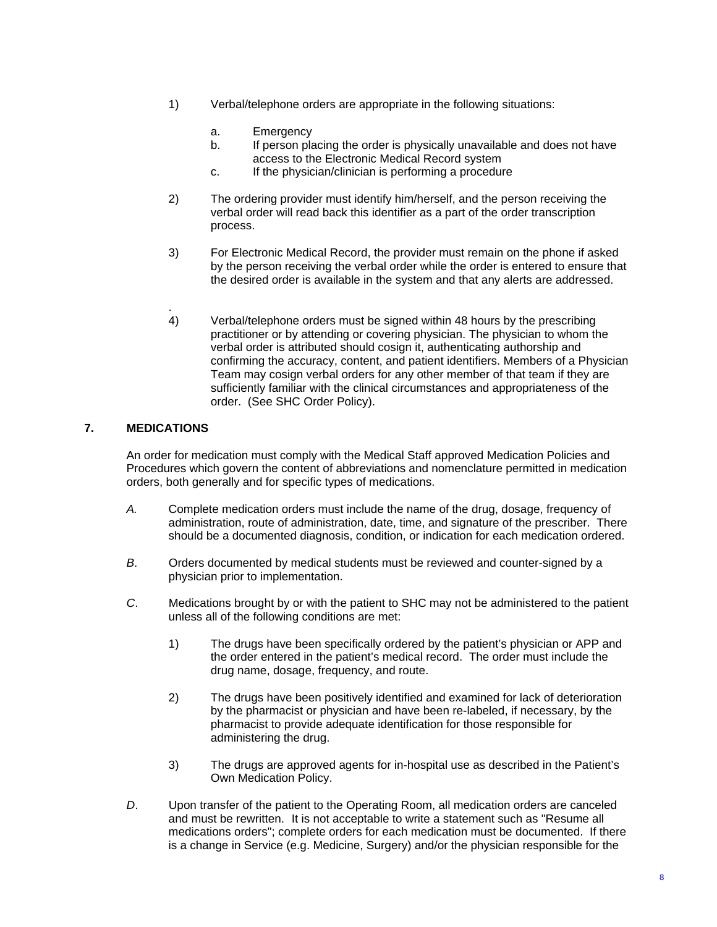- 1) Verbal/telephone orders are appropriate in the following situations:
	- a. Emergency
	- b. If person placing the order is physically unavailable and does not have access to the Electronic Medical Record system
	- c. If the physician/clinician is performing a procedure
- 2) The ordering provider must identify him/herself, and the person receiving the verbal order will read back this identifier as a part of the order transcription process.
- 3) For Electronic Medical Record, the provider must remain on the phone if asked by the person receiving the verbal order while the order is entered to ensure that the desired order is available in the system and that any alerts are addressed.
- . 4) Verbal/telephone orders must be signed within 48 hours by the prescribing practitioner or by attending or covering physician. The physician to whom the verbal order is attributed should cosign it, authenticating authorship and confirming the accuracy, content, and patient identifiers. Members of a Physician Team may cosign verbal orders for any other member of that team if they are sufficiently familiar with the clinical circumstances and appropriateness of the order. (See SHC Order Policy).

## **7. MEDICATIONS**

An order for medication must comply with the Medical Staff approved Medication Policies and Procedures which govern the content of abbreviations and nomenclature permitted in medication orders, both generally and for specific types of medications.

- *A.* Complete medication orders must include the name of the drug, dosage, frequency of administration, route of administration, date, time, and signature of the prescriber. There should be a documented diagnosis, condition, or indication for each medication ordered.
- *B*. Orders documented by medical students must be reviewed and counter-signed by a physician prior to implementation.
- *C*. Medications brought by or with the patient to SHC may not be administered to the patient unless all of the following conditions are met:
	- 1) The drugs have been specifically ordered by the patient's physician or APP and the order entered in the patient's medical record. The order must include the drug name, dosage, frequency, and route.
	- 2) The drugs have been positively identified and examined for lack of deterioration by the pharmacist or physician and have been re-labeled, if necessary, by the pharmacist to provide adequate identification for those responsible for administering the drug.
	- 3) The drugs are approved agents for in-hospital use as described in the Patient's Own Medication Policy.
- *D*. Upon transfer of the patient to the Operating Room, all medication orders are canceled and must be rewritten. It is not acceptable to write a statement such as "Resume all medications orders"; complete orders for each medication must be documented. If there is a change in Service (e.g. Medicine, Surgery) and/or the physician responsible for the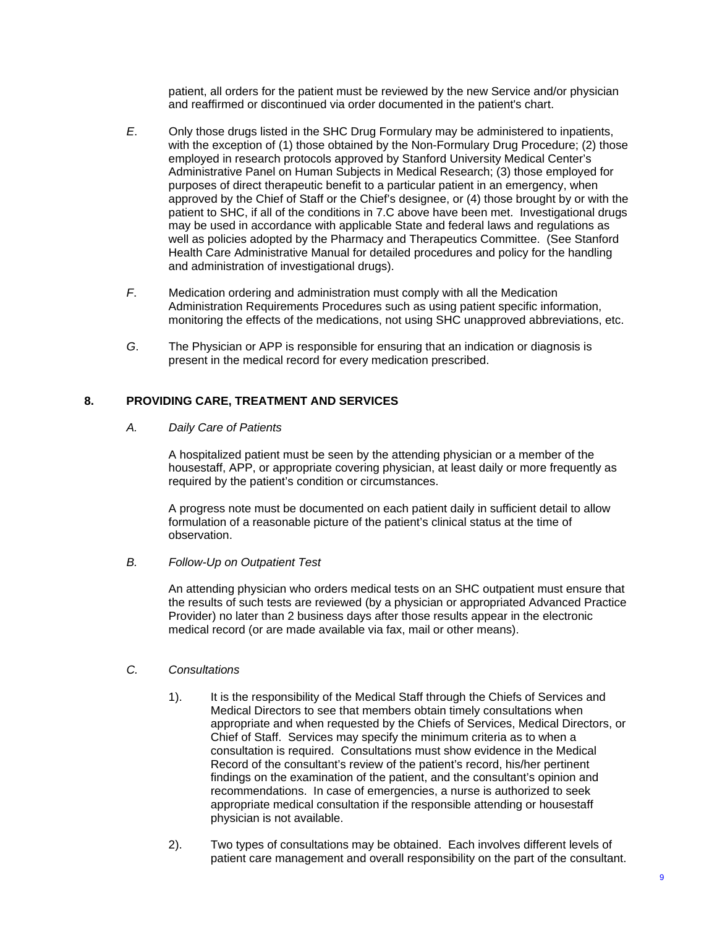patient, all orders for the patient must be reviewed by the new Service and/or physician and reaffirmed or discontinued via order documented in the patient's chart.

- *E*. Only those drugs listed in the SHC Drug Formulary may be administered to inpatients, with the exception of (1) those obtained by the Non-Formulary Drug Procedure; (2) those employed in research protocols approved by Stanford University Medical Center's Administrative Panel on Human Subjects in Medical Research; (3) those employed for purposes of direct therapeutic benefit to a particular patient in an emergency, when approved by the Chief of Staff or the Chief's designee, or (4) those brought by or with the patient to SHC, if all of the conditions in 7.C above have been met. Investigational drugs may be used in accordance with applicable State and federal laws and regulations as well as policies adopted by the Pharmacy and Therapeutics Committee. (See Stanford Health Care Administrative Manual for detailed procedures and policy for the handling and administration of investigational drugs).
- *F*. Medication ordering and administration must comply with all the Medication Administration Requirements Procedures such as using patient specific information, monitoring the effects of the medications, not using SHC unapproved abbreviations, etc.
- *G*. The Physician or APP is responsible for ensuring that an indication or diagnosis is present in the medical record for every medication prescribed.

### **8. PROVIDING CARE, TREATMENT AND SERVICES**

#### *A. Daily Care of Patients*

A hospitalized patient must be seen by the attending physician or a member of the housestaff, APP, or appropriate covering physician, at least daily or more frequently as required by the patient's condition or circumstances.

A progress note must be documented on each patient daily in sufficient detail to allow formulation of a reasonable picture of the patient's clinical status at the time of observation.

## *B. Follow-Up on Outpatient Test*

An attending physician who orders medical tests on an SHC outpatient must ensure that the results of such tests are reviewed (by a physician or appropriated Advanced Practice Provider) no later than 2 business days after those results appear in the electronic medical record (or are made available via fax, mail or other means).

#### *C. Consultations*

- 1). It is the responsibility of the Medical Staff through the Chiefs of Services and Medical Directors to see that members obtain timely consultations when appropriate and when requested by the Chiefs of Services, Medical Directors, or Chief of Staff. Services may specify the minimum criteria as to when a consultation is required. Consultations must show evidence in the Medical Record of the consultant's review of the patient's record, his/her pertinent findings on the examination of the patient, and the consultant's opinion and recommendations. In case of emergencies, a nurse is authorized to seek appropriate medical consultation if the responsible attending or housestaff physician is not available.
- 2). Two types of consultations may be obtained. Each involves different levels of patient care management and overall responsibility on the part of the consultant.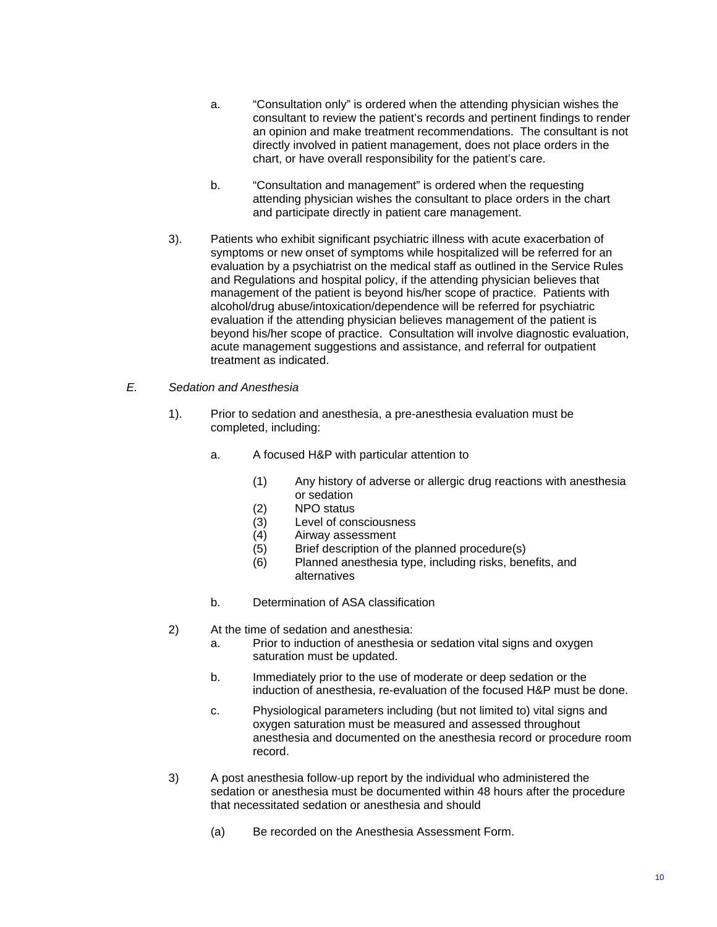- a. "Consultation only" is ordered when the attending physician wishes the consultant to review the patient's records and pertinent findings to render an opinion and make treatment recommendations. The consultant is not directly involved in patient management, does not place orders in the chart, or have overall responsibility for the patient's care.
- b. "Consultation and management" is ordered when the requesting attending physician wishes the consultant to place orders in the chart and participate directly in patient care management.
- 3). Patients who exhibit significant psychiatric illness with acute exacerbation of symptoms or new onset of symptoms while hospitalized will be referred for an evaluation by a psychiatrist on the medical staff as outlined in the Service Rules and Regulations and hospital policy, if the attending physician believes that management of the patient is beyond his/her scope of practice. Patients with alcohol/drug abuse/intoxication/dependence will be referred for psychiatric evaluation if the attending physician believes management of the patient is beyond his/her scope of practice. Consultation will involve diagnostic evaluation, acute management suggestions and assistance, and referral for outpatient treatment as indicated.
- *E. Sedation and Anesthesia*
	- 1). Prior to sedation and anesthesia, a pre-anesthesia evaluation must be completed, including:
		- a. A focused H&P with particular attention to
			- (1) Any history of adverse or allergic drug reactions with anesthesia or sedation
			- (2) NPO status
			- $(3)$  Level of consciousness<br> $(4)$  Airway assessment
			- (4) Airway assessment
			- (5) Brief description of the planned procedure(s)
			- (6) Planned anesthesia type, including risks, benefits, and alternatives
		- b. Determination of ASA classification
	- 2) At the time of sedation and anesthesia:
		- a. Prior to induction of anesthesia or sedation vital signs and oxygen saturation must be updated.
		- b. Immediately prior to the use of moderate or deep sedation or the induction of anesthesia, re-evaluation of the focused H&P must be done.
		- c. Physiological parameters including (but not limited to) vital signs and oxygen saturation must be measured and assessed throughout anesthesia and documented on the anesthesia record or procedure room record.
	- 3) A post anesthesia follow-up report by the individual who administered the sedation or anesthesia must be documented within 48 hours after the procedure that necessitated sedation or anesthesia and should
		- (a) Be recorded on the Anesthesia Assessment Form.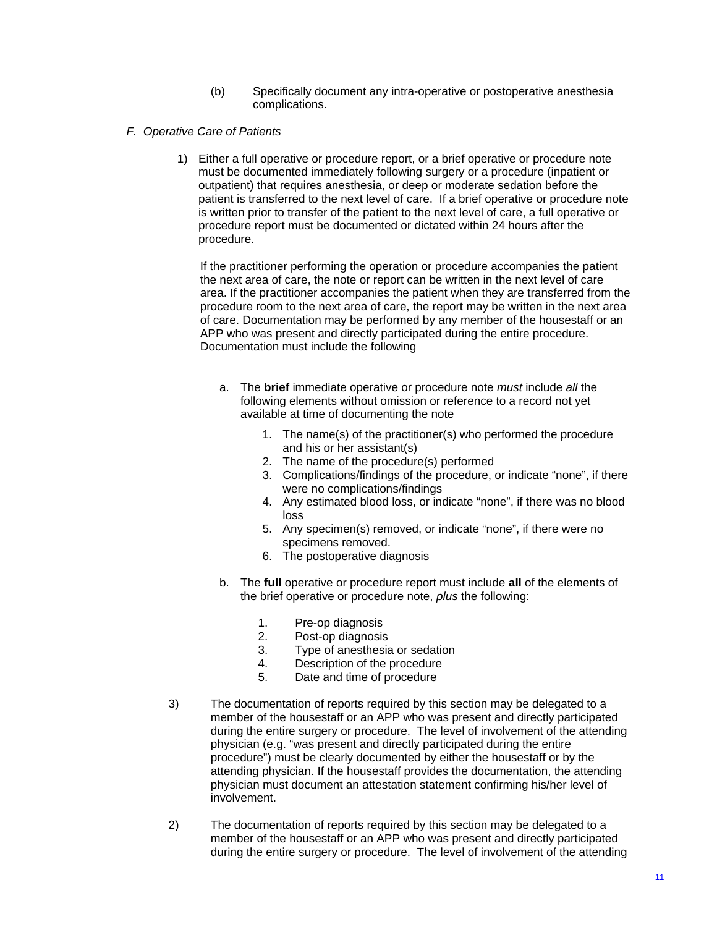- (b) Specifically document any intra-operative or postoperative anesthesia complications.
- *F. Operative Care of Patients* 
	- 1) Either a full operative or procedure report, or a brief operative or procedure note must be documented immediately following surgery or a procedure (inpatient or outpatient) that requires anesthesia, or deep or moderate sedation before the patient is transferred to the next level of care. If a brief operative or procedure note is written prior to transfer of the patient to the next level of care, a full operative or procedure report must be documented or dictated within 24 hours after the procedure.

If the practitioner performing the operation or procedure accompanies the patient the next area of care, the note or report can be written in the next level of care area. If the practitioner accompanies the patient when they are transferred from the procedure room to the next area of care, the report may be written in the next area of care. Documentation may be performed by any member of the housestaff or an APP who was present and directly participated during the entire procedure. Documentation must include the following

- a. The **brief** immediate operative or procedure note *must* include *all* the following elements without omission or reference to a record not yet available at time of documenting the note
	- 1. The name(s) of the practitioner(s) who performed the procedure and his or her assistant(s)
	- 2. The name of the procedure(s) performed
	- 3. Complications/findings of the procedure, or indicate "none", if there were no complications/findings
	- 4. Any estimated blood loss, or indicate "none", if there was no blood loss
	- 5. Any specimen(s) removed, or indicate "none", if there were no specimens removed.
	- 6. The postoperative diagnosis
- b. The **full** operative or procedure report must include **all** of the elements of the brief operative or procedure note, *plus* the following:
	- 1. Pre-op diagnosis<br>2. Post-op diagnosis
	- Post-op diagnosis
	- 3. Type of anesthesia or sedation
	- 4. Description of the procedure
	- 5. Date and time of procedure
- 3) The documentation of reports required by this section may be delegated to a member of the housestaff or an APP who was present and directly participated during the entire surgery or procedure. The level of involvement of the attending physician (e.g. "was present and directly participated during the entire procedure") must be clearly documented by either the housestaff or by the attending physician. If the housestaff provides the documentation, the attending physician must document an attestation statement confirming his/her level of involvement.
- 2) The documentation of reports required by this section may be delegated to a member of the housestaff or an APP who was present and directly participated during the entire surgery or procedure. The level of involvement of the attending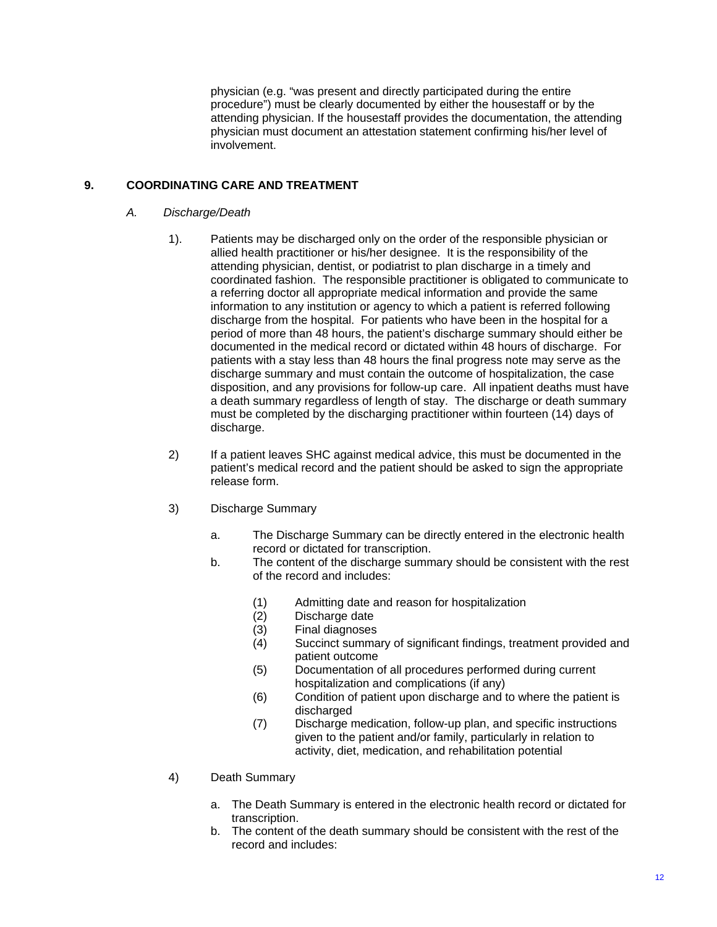physician (e.g. "was present and directly participated during the entire procedure") must be clearly documented by either the housestaff or by the attending physician. If the housestaff provides the documentation, the attending physician must document an attestation statement confirming his/her level of involvement.

## **9. COORDINATING CARE AND TREATMENT**

#### *A. Discharge/Death*

- 1). Patients may be discharged only on the order of the responsible physician or allied health practitioner or his/her designee. It is the responsibility of the attending physician, dentist, or podiatrist to plan discharge in a timely and coordinated fashion. The responsible practitioner is obligated to communicate to a referring doctor all appropriate medical information and provide the same information to any institution or agency to which a patient is referred following discharge from the hospital. For patients who have been in the hospital for a period of more than 48 hours, the patient's discharge summary should either be documented in the medical record or dictated within 48 hours of discharge. For patients with a stay less than 48 hours the final progress note may serve as the discharge summary and must contain the outcome of hospitalization, the case disposition, and any provisions for follow-up care. All inpatient deaths must have a death summary regardless of length of stay. The discharge or death summary must be completed by the discharging practitioner within fourteen (14) days of discharge.
- 2) If a patient leaves SHC against medical advice, this must be documented in the patient's medical record and the patient should be asked to sign the appropriate release form.
- 3) Discharge Summary
	- a. The Discharge Summary can be directly entered in the electronic health record or dictated for transcription.
	- b. The content of the discharge summary should be consistent with the rest of the record and includes:
		- (1) Admitting date and reason for hospitalization
		- (2) Discharge date
		- (3) Final diagnoses
		- (4) Succinct summary of significant findings, treatment provided and patient outcome
		- (5) Documentation of all procedures performed during current hospitalization and complications (if any)
		- (6) Condition of patient upon discharge and to where the patient is discharged
		- (7) Discharge medication, follow-up plan, and specific instructions given to the patient and/or family, particularly in relation to activity, diet, medication, and rehabilitation potential
- 4) Death Summary
	- a. The Death Summary is entered in the electronic health record or dictated for transcription.
	- b. The content of the death summary should be consistent with the rest of the record and includes: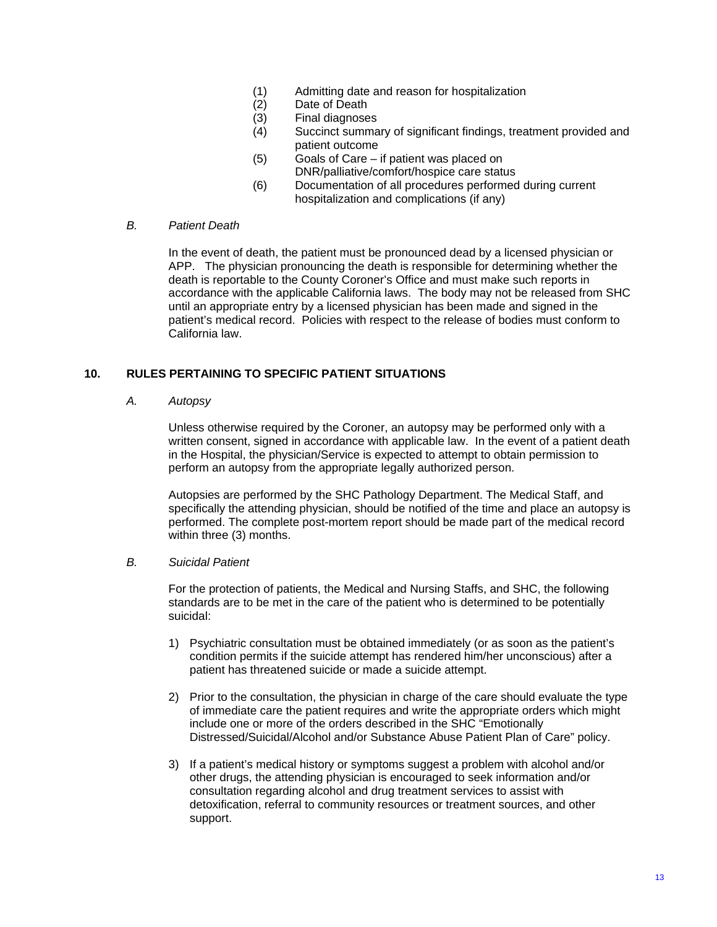- (1) Admitting date and reason for hospitalization
- (2) Date of Death
- (3) Final diagnoses
- (4) Succinct summary of significant findings, treatment provided and patient outcome
- (5) Goals of Care if patient was placed on DNR/palliative/comfort/hospice care status
- (6) Documentation of all procedures performed during current hospitalization and complications (if any)

#### *B. Patient Death*

In the event of death, the patient must be pronounced dead by a licensed physician or APP. The physician pronouncing the death is responsible for determining whether the death is reportable to the County Coroner's Office and must make such reports in accordance with the applicable California laws. The body may not be released from SHC until an appropriate entry by a licensed physician has been made and signed in the patient's medical record. Policies with respect to the release of bodies must conform to California law.

## **10. RULES PERTAINING TO SPECIFIC PATIENT SITUATIONS**

### *A. Autopsy*

Unless otherwise required by the Coroner, an autopsy may be performed only with a written consent, signed in accordance with applicable law. In the event of a patient death in the Hospital, the physician/Service is expected to attempt to obtain permission to perform an autopsy from the appropriate legally authorized person.

Autopsies are performed by the SHC Pathology Department. The Medical Staff, and specifically the attending physician, should be notified of the time and place an autopsy is performed. The complete post-mortem report should be made part of the medical record within three (3) months.

## *B. Suicidal Patient*

For the protection of patients, the Medical and Nursing Staffs, and SHC, the following standards are to be met in the care of the patient who is determined to be potentially suicidal:

- 1) Psychiatric consultation must be obtained immediately (or as soon as the patient's condition permits if the suicide attempt has rendered him/her unconscious) after a patient has threatened suicide or made a suicide attempt.
- 2) Prior to the consultation, the physician in charge of the care should evaluate the type of immediate care the patient requires and write the appropriate orders which might include one or more of the orders described in the SHC "Emotionally Distressed/Suicidal/Alcohol and/or Substance Abuse Patient Plan of Care" policy.
- 3) If a patient's medical history or symptoms suggest a problem with alcohol and/or other drugs, the attending physician is encouraged to seek information and/or consultation regarding alcohol and drug treatment services to assist with detoxification, referral to community resources or treatment sources, and other support.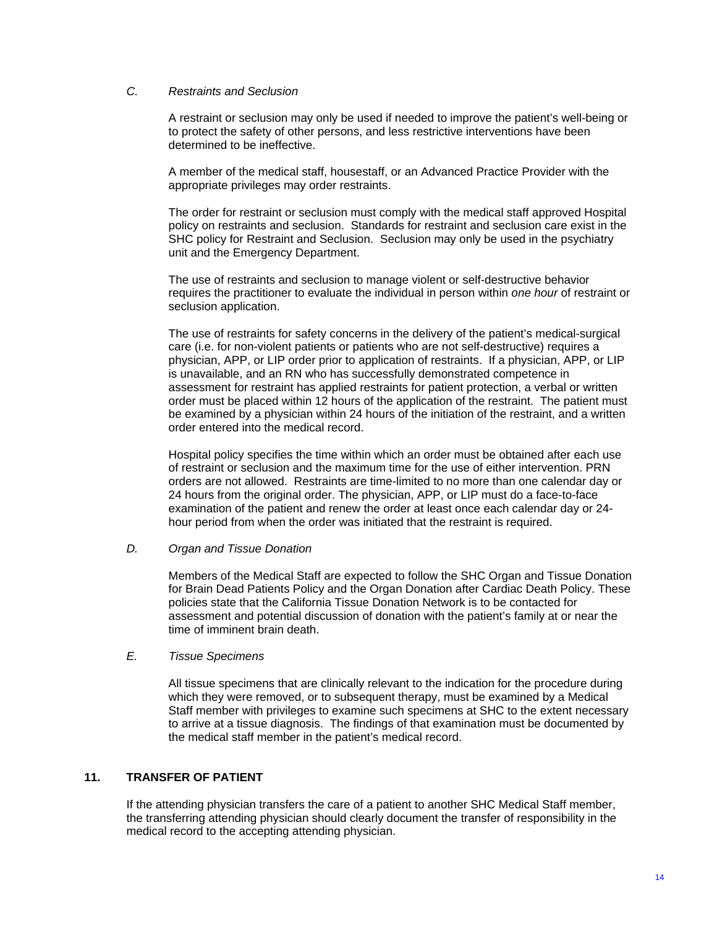#### *C. Restraints and Seclusion*

A restraint or seclusion may only be used if needed to improve the patient's well-being or to protect the safety of other persons, and less restrictive interventions have been determined to be ineffective.

A member of the medical staff, housestaff, or an Advanced Practice Provider with the appropriate privileges may order restraints.

The order for restraint or seclusion must comply with the medical staff approved Hospital policy on restraints and seclusion. Standards for restraint and seclusion care exist in the SHC policy for Restraint and Seclusion. Seclusion may only be used in the psychiatry unit and the Emergency Department.

The use of restraints and seclusion to manage violent or self-destructive behavior requires the practitioner to evaluate the individual in person within *one hour* of restraint or seclusion application.

The use of restraints for safety concerns in the delivery of the patient's medical-surgical care (i.e. for non-violent patients or patients who are not self-destructive) requires a physician, APP, or LIP order prior to application of restraints. If a physician, APP, or LIP is unavailable, and an RN who has successfully demonstrated competence in assessment for restraint has applied restraints for patient protection, a verbal or written order must be placed within 12 hours of the application of the restraint. The patient must be examined by a physician within 24 hours of the initiation of the restraint, and a written order entered into the medical record.

Hospital policy specifies the time within which an order must be obtained after each use of restraint or seclusion and the maximum time for the use of either intervention. PRN orders are not allowed. Restraints are time-limited to no more than one calendar day or 24 hours from the original order. The physician, APP, or LIP must do a face-to-face examination of the patient and renew the order at least once each calendar day or 24 hour period from when the order was initiated that the restraint is required.

*D. Organ and Tissue Donation*

Members of the Medical Staff are expected to follow the SHC Organ and Tissue Donation for Brain Dead Patients Policy and the Organ Donation after Cardiac Death Policy. These policies state that the California Tissue Donation Network is to be contacted for assessment and potential discussion of donation with the patient's family at or near the time of imminent brain death.

*E. Tissue Specimens*

 All tissue specimens that are clinically relevant to the indication for the procedure during which they were removed, or to subsequent therapy, must be examined by a Medical Staff member with privileges to examine such specimens at SHC to the extent necessary to arrive at a tissue diagnosis. The findings of that examination must be documented by the medical staff member in the patient's medical record.

#### **11. TRANSFER OF PATIENT**

If the attending physician transfers the care of a patient to another SHC Medical Staff member, the transferring attending physician should clearly document the transfer of responsibility in the medical record to the accepting attending physician.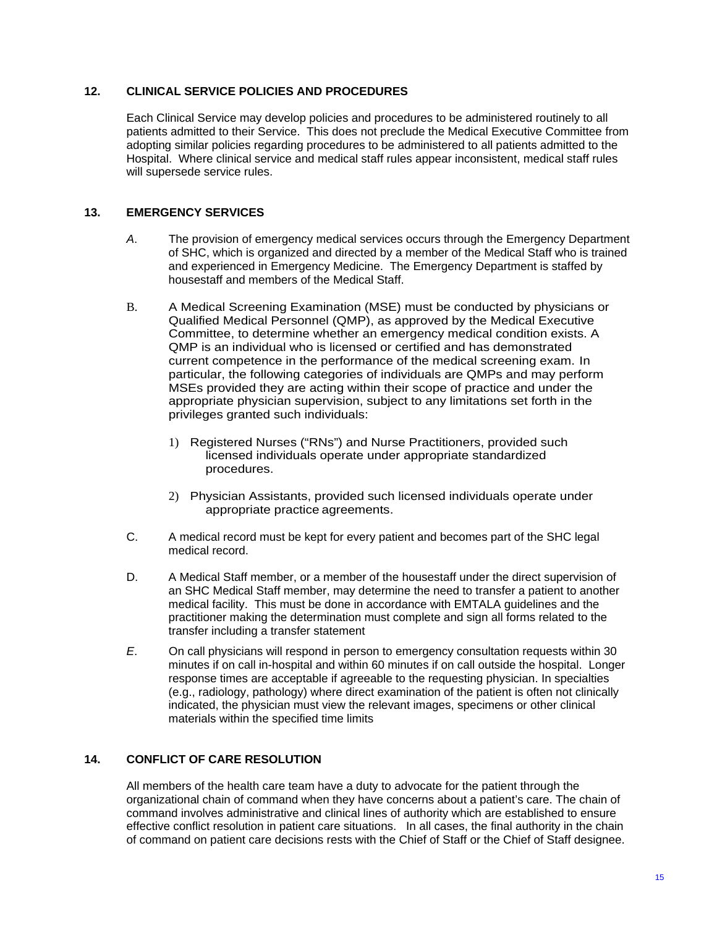## **12. CLINICAL SERVICE POLICIES AND PROCEDURES**

Each Clinical Service may develop policies and procedures to be administered routinely to all patients admitted to their Service. This does not preclude the Medical Executive Committee from adopting similar policies regarding procedures to be administered to all patients admitted to the Hospital. Where clinical service and medical staff rules appear inconsistent, medical staff rules will supersede service rules.

## **13. EMERGENCY SERVICES**

- *A*. The provision of emergency medical services occurs through the Emergency Department of SHC, which is organized and directed by a member of the Medical Staff who is trained and experienced in Emergency Medicine. The Emergency Department is staffed by housestaff and members of the Medical Staff.
- B. A Medical Screening Examination (MSE) must be conducted by physicians or Qualified Medical Personnel (QMP), as approved by the Medical Executive Committee, to determine whether an emergency medical condition exists. A QMP is an individual who is licensed or certified and has demonstrated current competence in the performance of the medical screening exam. In particular, the following categories of individuals are QMPs and may perform MSEs provided they are acting within their scope of practice and under the appropriate physician supervision, subject to any limitations set forth in the privileges granted such individuals:
	- 1) Registered Nurses ("RNs") and Nurse Practitioners, provided such licensed individuals operate under appropriate standardized procedures.
	- 2) Physician Assistants, provided such licensed individuals operate under appropriate practice agreements.
- C. A medical record must be kept for every patient and becomes part of the SHC legal medical record.
- D. A Medical Staff member, or a member of the housestaff under the direct supervision of an SHC Medical Staff member, may determine the need to transfer a patient to another medical facility. This must be done in accordance with EMTALA guidelines and the practitioner making the determination must complete and sign all forms related to the transfer including a transfer statement
- *E*. On call physicians will respond in person to emergency consultation requests within 30 minutes if on call in-hospital and within 60 minutes if on call outside the hospital. Longer response times are acceptable if agreeable to the requesting physician. In specialties (e.g., radiology, pathology) where direct examination of the patient is often not clinically indicated, the physician must view the relevant images, specimens or other clinical materials within the specified time limits

# **14. CONFLICT OF CARE RESOLUTION**

All members of the health care team have a duty to advocate for the patient through the organizational chain of command when they have concerns about a patient's care. The chain of command involves administrative and clinical lines of authority which are established to ensure effective conflict resolution in patient care situations. In all cases, the final authority in the chain of command on patient care decisions rests with the Chief of Staff or the Chief of Staff designee.